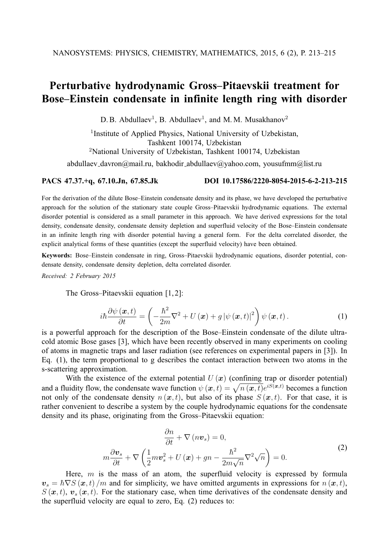## **Perturbative hydrodynamic Gross–Pitaevskii treatment for Bose–Einstein condensate in infinite length ring with disorder**

D. B. Abdullaev<sup>1</sup>, B. Abdullaev<sup>1</sup>, and M. M. Musakhanov<sup>2</sup>

<sup>1</sup> Institute of Applied Physics, National University of Uzbekistan, Tashkent 100174, Uzbekistan <sup>2</sup>National University of Uzbekistan, Tashkent 100174, Uzbekistan abdullaev\_davron@mail.ru, bakhodir\_abdullaev@yahoo.com, yousufmm@list.ru

## **PACS 47.37.+q, 67.10.Jn, 67.85.Jk DOI 10.17586/2220-8054-2015-6-2-213-215**

For the derivation of the dilute Bose–Einstein condensate density and its phase, we have developed the perturbative approach for the solution of the stationary state couple Gross–Pitaevskii hydrodynamic equations. The external disorder potential is considered as a small parameter in this approach. We have derived expressions for the total density, condensate density, condensate density depletion and superfluid velocity of the Bose–Einstein condensate in an infinite length ring with disorder potential having a general form. For the delta correlated disorder, the explicit analytical forms of these quantities (except the superfluid velocity) have been obtained.

**Keywords:** Bose–Einstein condensate in ring, Gross–Pitaevskii hydrodynamic equations, disorder potential, condensate density, condensate density depletion, delta correlated disorder.

*Received: 2 February 2015*

The Gross–Pitaevskii equation [1, 2]:

$$
i\hbar \frac{\partial \psi(\boldsymbol{x},t)}{\partial t} = \left(-\frac{\hbar^2}{2m}\nabla^2 + U(\boldsymbol{x}) + g |\psi(\boldsymbol{x},t)|^2\right) \psi(\boldsymbol{x},t).
$$
 (1)

is a powerful approach for the description of the Bose–Einstein condensate of the dilute ultracold atomic Bose gases [3], which have been recently observed in many experiments on cooling of atoms in magnetic traps and laser radiation (see references on experimental papers in [3]). In Eq. (1), the term proportional to g describes the contact interaction between two atoms in the s-scattering approximation.

With the existence of the external potential  $U(x)$  (confining trap or disorder potential) and a fluidity flow, the condensate wave function  $\psi(x, t) = \sqrt{n(x, t)}e^{iS(x, t)}$  becomes a function not only of the condensate density  $n(\mathbf{x}, t)$ , but also of its phase  $S(\mathbf{x}, t)$ . For that case, it is rather convenient to describe a system by the couple hydrodynamic equations for the condensate density and its phase, originating from the Gross–Pitaevskii equation:

$$
\frac{\partial n}{\partial t} + \nabla (n\boldsymbol{v}_s) = 0,
$$
\n
$$
m\frac{\partial \boldsymbol{v}_s}{\partial t} + \nabla \left(\frac{1}{2}m\boldsymbol{v}_s^2 + U(\boldsymbol{x}) + gn - \frac{\hbar^2}{2m\sqrt{n}}\nabla^2\sqrt{n}\right) = 0.
$$
\n(2)

Here,  $m$  is the mass of an atom, the superfluid velocity is expressed by formula  $v_s = \hbar \nabla S(x, t) / m$  and for simplicity, we have omitted arguments in expressions for  $n(x, t)$ ,  $S(\mathbf{x}, t)$ ,  $\mathbf{v}_s(\mathbf{x}, t)$ . For the stationary case, when time derivatives of the condensate density and the superfluid velocity are equal to zero, Eq. (2) reduces to: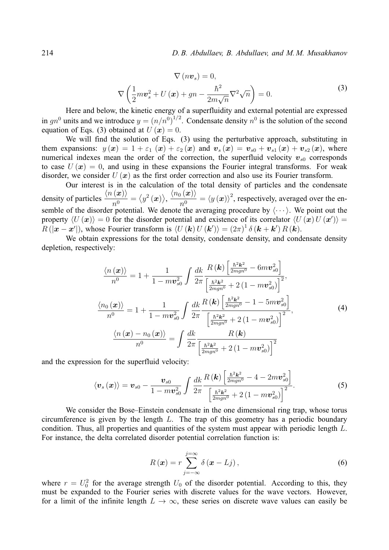214 *D. B. Abdullaev, B. Abdullaev, and M. M. Musakhanov*

$$
\nabla\left(n\boldsymbol{v}_{s}\right) = 0,
$$
\n
$$
\nabla\left(\frac{1}{2}m\boldsymbol{v}_{s}^{2} + U\left(\boldsymbol{x}\right) + gn - \frac{\hbar^{2}}{2m\sqrt{n}}\nabla^{2}\sqrt{n}\right) = 0.
$$
\n(3)

Here and below, the kinetic energy of a superfluidity and external potential are expressed in  $gn^0$  units and we introduce  $y = (n/n^0)^{1/2}$ . Condensate density  $n^0$  is the solution of the second equation of Eqs. (3) obtained at  $U(\mathbf{x}) = 0$ .

We will find the solution of Eqs. (3) using the perturbative approach, substituting in them expansions:  $y(x) = 1 + \varepsilon_1(x) + \varepsilon_2(x)$  and  $v_s(x) = v_{s0} + v_{s1}(x) + v_{s2}(x)$ , where numerical indexes mean the order of the correction, the superfluid velocity  $v_{s0}$  corresponds to case  $U(\mathbf{x}) = 0$ , and using in these expansions the Fourier integral transforms. For weak disorder, we consider  $U(x)$  as the first order correction and also use its Fourier transform.

Our interest is in the calculation of the total density of particles and the condensate density of particles  $\frac{\langle n(x)\rangle}{\delta}$  $\overrightarrow{n^0} = \langle y^2(x) \rangle, \, \frac{\langle n_0(x) \rangle}{n^0}$  $n^0$  $=\langle y(\bm{x})\rangle^2$ , respectively, averaged over the ensemble of the disorder potential. We denote the averaging procedure by  $\langle \cdots \rangle$ . We point out the property  $\langle U (\bm{x}) \rangle = 0$  for the disorder potential and existence of its correlator  $\langle U (\bm{x}) U (\bm{x}') \rangle =$  $R(|x-x'|)$ , whose Fourier transform is  $\langle U(k) U(k') \rangle = (2\pi)^{1} \delta(k+k') R(k)$ .

We obtain expressions for the total density, condensate density, and condensate density depletion, respectively:

$$
\frac{\langle n(\boldsymbol{x}) \rangle}{n^0} = 1 + \frac{1}{1 - m v_{s0}^2} \int \frac{dk}{2\pi} \frac{R(\boldsymbol{k}) \left[ \frac{\hbar^2 \boldsymbol{k}^2}{2m g n^0} - 6m v_{s0}^2 \right]}{\left[ \frac{\hbar^2 \boldsymbol{k}^2}{2m g n^0} + 2(1 - m v_{s0}^2) \right]^2},
$$
\n
$$
\frac{\langle n_0(\boldsymbol{x}) \rangle}{n^0} = 1 + \frac{1}{1 - m v_{s0}^2} \int \frac{dk}{2\pi} \frac{R(\boldsymbol{k}) \left[ \frac{\hbar^2 \boldsymbol{k}^2}{2m g n^0} - 1 - 5m v_{s0}^2 \right]}{\left[ \frac{\hbar^2 \boldsymbol{k}^2}{2m g n^0} + 2(1 - m v_{s0}^2) \right]^2},
$$
\n
$$
\frac{\langle n(\boldsymbol{x}) - n_0(\boldsymbol{x}) \rangle}{n^0} = \int \frac{dk}{2\pi} \frac{R(\boldsymbol{k})}{\left[ \frac{\hbar^2 \boldsymbol{k}^2}{2m g n^0} + 2(1 - m v_{s0}^2) \right]^2}
$$
\n(4)

and the expression for the superfluid velocity:

$$
\langle v_s(x) \rangle = v_{s0} - \frac{v_{s0}}{1 - mv_{s0}^2} \int \frac{dk}{2\pi} \frac{R(k) \left[ \frac{\hbar^2 k^2}{2mgn^0} - 4 - 2mv_{s0}^2 \right]}{\left[ \frac{\hbar^2 k^2}{2mgn^0} + 2(1 - mv_{s0}^2) \right]^2}.
$$
 (5)

We consider the Bose–Einstein condensate in the one dimensional ring trap, whose torus circumference is given by the length  $L$ . The trap of this geometry has a periodic boundary condition. Thus, all properties and quantities of the system must appear with periodic length L. For instance, the delta correlated disorder potential correlation function is:

$$
R\left(\boldsymbol{x}\right) = r \sum_{j=-\infty}^{j=\infty} \delta\left(\boldsymbol{x} - Lj\right),\tag{6}
$$

where  $r = U_0^2$  for the average strength  $U_0$  of the disorder potential. According to this, they must be expanded to the Fourier series with discrete values for the wave vectors. However, for a limit of the infinite length  $L \to \infty$ , these series on discrete wave values can easily be